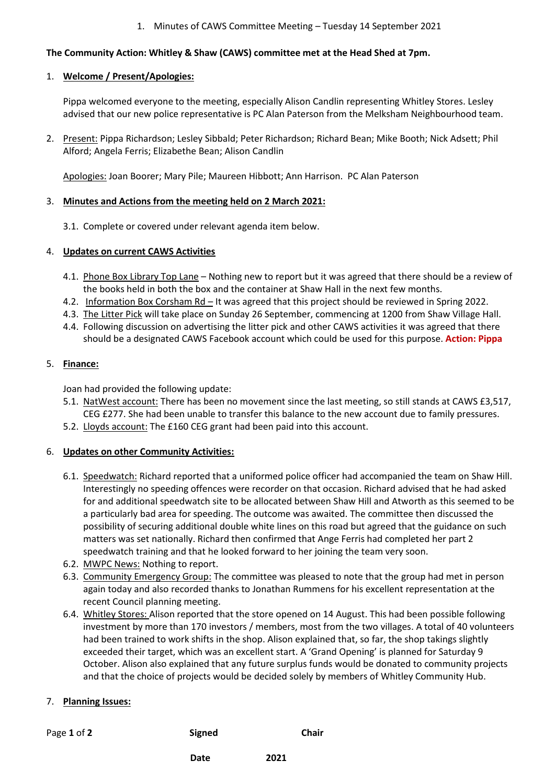### 1. Minutes of CAWS Committee Meeting – Tuesday 14 September 2021

# **The Community Action: Whitley & Shaw (CAWS) committee met at the Head Shed at 7pm.**

#### 1. **Welcome / Present/Apologies:**

Pippa welcomed everyone to the meeting, especially Alison Candlin representing Whitley Stores. Lesley advised that our new police representative is PC Alan Paterson from the Melksham Neighbourhood team.

2. Present: Pippa Richardson; Lesley Sibbald; Peter Richardson; Richard Bean; Mike Booth; Nick Adsett; Phil Alford; Angela Ferris; Elizabethe Bean; Alison Candlin

Apologies: Joan Boorer; Mary Pile; Maureen Hibbott; Ann Harrison. PC Alan Paterson

### 3. **Minutes and Actions from the meeting held on 2 March 2021:**

3.1. Complete or covered under relevant agenda item below.

### 4. **Updates on current CAWS Activities**

- 4.1. Phone Box Library Top Lane Nothing new to report but it was agreed that there should be a review of the books held in both the box and the container at Shaw Hall in the next few months.
- 4.2. Information Box Corsham Rd It was agreed that this project should be reviewed in Spring 2022.
- 4.3. The Litter Pick will take place on Sunday 26 September, commencing at 1200 from Shaw Village Hall.
- 4.4. Following discussion on advertising the litter pick and other CAWS activities it was agreed that there should be a designated CAWS Facebook account which could be used for this purpose. **Action: Pippa**

# 5. **Finance:**

Joan had provided the following update:

- 5.1. NatWest account: There has been no movement since the last meeting, so still stands at CAWS £3,517, CEG £277. She had been unable to transfer this balance to the new account due to family pressures.
- 5.2. Lloyds account: The £160 CEG grant had been paid into this account.

# 6. **Updates on other Community Activities:**

- 6.1. Speedwatch: Richard reported that a uniformed police officer had accompanied the team on Shaw Hill. Interestingly no speeding offences were recorder on that occasion. Richard advised that he had asked for and additional speedwatch site to be allocated between Shaw Hill and Atworth as this seemed to be a particularly bad area for speeding. The outcome was awaited. The committee then discussed the possibility of securing additional double white lines on this road but agreed that the guidance on such matters was set nationally. Richard then confirmed that Ange Ferris had completed her part 2 speedwatch training and that he looked forward to her joining the team very soon.
- 6.2. MWPC News: Nothing to report.
- 6.3. Community Emergency Group: The committee was pleased to note that the group had met in person again today and also recorded thanks to Jonathan Rummens for his excellent representation at the recent Council planning meeting.
- 6.4. Whitley Stores: Alison reported that the store opened on 14 August. This had been possible following investment by more than 170 investors / members, most from the two villages. A total of 40 volunteers had been trained to work shifts in the shop. Alison explained that, so far, the shop takings slightly exceeded their target, which was an excellent start. A 'Grand Opening' is planned for Saturday 9 October. Alison also explained that any future surplus funds would be donated to community projects and that the choice of projects would be decided solely by members of Whitley Community Hub.

# 7. **Planning Issues:**

| Page 1 of 2 | <b>Signed</b> | <b>Chair</b> |
|-------------|---------------|--------------|
|             | Date          | 2021         |